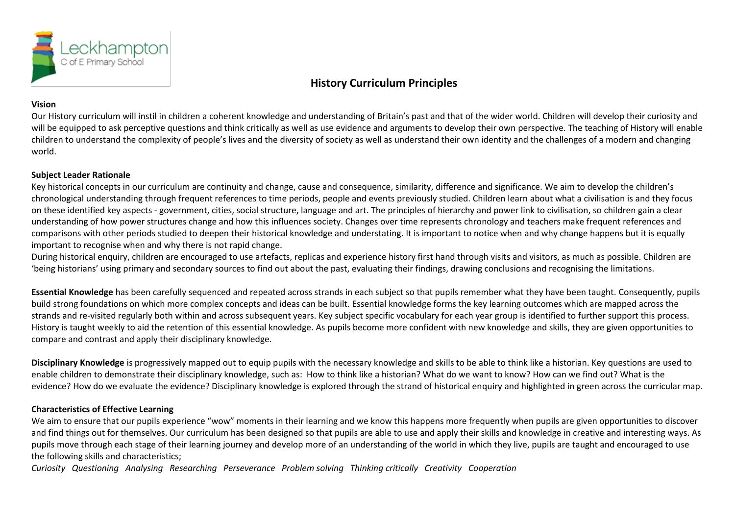

## **History Curriculum Principles**

## **Vision**

Our History curriculum will instil in children a coherent knowledge and understanding of Britain's past and that of the wider world. Children will develop their curiosity and will be equipped to ask perceptive questions and think critically as well as use evidence and arguments to develop their own perspective. The teaching of History will enable children to understand the complexity of people's lives and the diversity of society as well as understand their own identity and the challenges of a modern and changing world.

## **Subject Leader Rationale**

Key historical concepts in our curriculum are continuity and change, cause and consequence, similarity, difference and significance. We aim to develop the children's chronological understanding through frequent references to time periods, people and events previously studied. Children learn about what a civilisation is and they focus on these identified key aspects - government, cities, social structure, language and art. The principles of hierarchy and power link to civilisation, so children gain a clear understanding of how power structures change and how this influences society. Changes over time represents chronology and teachers make frequent references and comparisons with other periods studied to deepen their historical knowledge and understating. It is important to notice when and why change happens but it is equally important to recognise when and why there is not rapid change.

During historical enquiry, children are encouraged to use artefacts, replicas and experience history first hand through visits and visitors, as much as possible. Children are 'being historians' using primary and secondary sources to find out about the past, evaluating their findings, drawing conclusions and recognising the limitations.

**Essential Knowledge** has been carefully sequenced and repeated across strands in each subject so that pupils remember what they have been taught. Consequently, pupils build strong foundations on which more complex concepts and ideas can be built. Essential knowledge forms the key learning outcomes which are mapped across the strands and re-visited regularly both within and across subsequent years. Key subject specific vocabulary for each year group is identified to further support this process. History is taught weekly to aid the retention of this essential knowledge. As pupils become more confident with new knowledge and skills, they are given opportunities to compare and contrast and apply their disciplinary knowledge.

**Disciplinary Knowledge** is progressively mapped out to equip pupils with the necessary knowledge and skills to be able to think like a historian. Key questions are used to enable children to demonstrate their disciplinary knowledge, such as: How to think like a historian? What do we want to know? How can we find out? What is the evidence? How do we evaluate the evidence? Disciplinary knowledge is explored through the strand of historical enquiry and highlighted in green across the curricular map.

## **Characteristics of Effective Learning**

We aim to ensure that our pupils experience "wow" moments in their learning and we know this happens more frequently when pupils are given opportunities to discover and find things out for themselves. Our curriculum has been designed so that pupils are able to use and apply their skills and knowledge in creative and interesting ways. As pupils move through each stage of their learning journey and develop more of an understanding of the world in which they live, pupils are taught and encouraged to use the following skills and characteristics;

*Curiosity Questioning Analysing Researching Perseverance Problem solving Thinking critically Creativity Cooperation*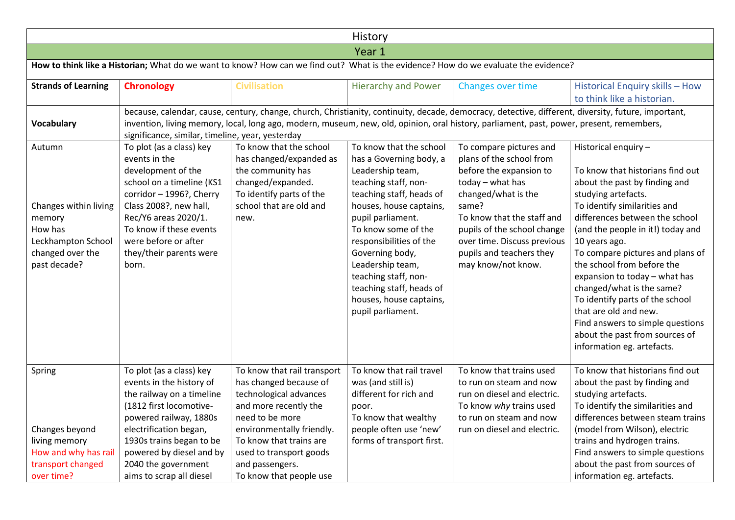| History                                                                                                        |                                                                                                                                                                                                                                                                   |                                                                                                                                                             |                                                                                                                                                                                                                                                                                                                                                                         |                                                                                                                                                                                                                                                                                    |                                                                                                                                                                                                                                                                                                                                                                                                                                                                                                                                          |  |  |
|----------------------------------------------------------------------------------------------------------------|-------------------------------------------------------------------------------------------------------------------------------------------------------------------------------------------------------------------------------------------------------------------|-------------------------------------------------------------------------------------------------------------------------------------------------------------|-------------------------------------------------------------------------------------------------------------------------------------------------------------------------------------------------------------------------------------------------------------------------------------------------------------------------------------------------------------------------|------------------------------------------------------------------------------------------------------------------------------------------------------------------------------------------------------------------------------------------------------------------------------------|------------------------------------------------------------------------------------------------------------------------------------------------------------------------------------------------------------------------------------------------------------------------------------------------------------------------------------------------------------------------------------------------------------------------------------------------------------------------------------------------------------------------------------------|--|--|
|                                                                                                                |                                                                                                                                                                                                                                                                   |                                                                                                                                                             | Year 1                                                                                                                                                                                                                                                                                                                                                                  |                                                                                                                                                                                                                                                                                    |                                                                                                                                                                                                                                                                                                                                                                                                                                                                                                                                          |  |  |
|                                                                                                                |                                                                                                                                                                                                                                                                   |                                                                                                                                                             |                                                                                                                                                                                                                                                                                                                                                                         | How to think like a Historian; What do we want to know? How can we find out? What is the evidence? How do we evaluate the evidence?                                                                                                                                                |                                                                                                                                                                                                                                                                                                                                                                                                                                                                                                                                          |  |  |
| <b>Strands of Learning</b>                                                                                     | <b>Chronology</b>                                                                                                                                                                                                                                                 | <b>Civilisation</b>                                                                                                                                         | <b>Hierarchy and Power</b>                                                                                                                                                                                                                                                                                                                                              | Changes over time                                                                                                                                                                                                                                                                  | Historical Enquiry skills - How<br>to think like a historian.                                                                                                                                                                                                                                                                                                                                                                                                                                                                            |  |  |
| <b>Vocabulary</b>                                                                                              | significance, similar, timeline, year, yesterday                                                                                                                                                                                                                  |                                                                                                                                                             |                                                                                                                                                                                                                                                                                                                                                                         | invention, living memory, local, long ago, modern, museum, new, old, opinion, oral history, parliament, past, power, present, remembers,                                                                                                                                           | because, calendar, cause, century, change, church, Christianity, continuity, decade, democracy, detective, different, diversity, future, important,                                                                                                                                                                                                                                                                                                                                                                                      |  |  |
| Autumn<br>Changes within living<br>memory<br>How has<br>Leckhampton School<br>changed over the<br>past decade? | To plot (as a class) key<br>events in the<br>development of the<br>school on a timeline (KS1<br>corridor - 1996?, Cherry<br>Class 2008?, new hall,<br>Rec/Y6 areas 2020/1.<br>To know if these events<br>were before or after<br>they/their parents were<br>born. | To know that the school<br>has changed/expanded as<br>the community has<br>changed/expanded.<br>To identify parts of the<br>school that are old and<br>new. | To know that the school<br>has a Governing body, a<br>Leadership team,<br>teaching staff, non-<br>teaching staff, heads of<br>houses, house captains,<br>pupil parliament.<br>To know some of the<br>responsibilities of the<br>Governing body,<br>Leadership team,<br>teaching staff, non-<br>teaching staff, heads of<br>houses, house captains,<br>pupil parliament. | To compare pictures and<br>plans of the school from<br>before the expansion to<br>$today - what has$<br>changed/what is the<br>same?<br>To know that the staff and<br>pupils of the school change<br>over time. Discuss previous<br>pupils and teachers they<br>may know/not know. | Historical enquiry -<br>To know that historians find out<br>about the past by finding and<br>studying artefacts.<br>To identify similarities and<br>differences between the school<br>(and the people in it!) today and<br>10 years ago.<br>To compare pictures and plans of<br>the school from before the<br>expansion to today - what has<br>changed/what is the same?<br>To identify parts of the school<br>that are old and new.<br>Find answers to simple questions<br>about the past from sources of<br>information eg. artefacts. |  |  |
| Spring                                                                                                         | To plot (as a class) key<br>events in the history of<br>the railway on a timeline<br>(1812 first locomotive-<br>powered railway, 1880s                                                                                                                            | To know that rail transport<br>has changed because of<br>technological advances<br>and more recently the<br>need to be more                                 | To know that rail travel<br>was (and still is)<br>different for rich and<br>poor.<br>To know that wealthy                                                                                                                                                                                                                                                               | To know that trains used<br>to run on steam and now<br>run on diesel and electric.<br>To know why trains used<br>to run on steam and now                                                                                                                                           | To know that historians find out<br>about the past by finding and<br>studying artefacts.<br>To identify the similarities and<br>differences between steam trains                                                                                                                                                                                                                                                                                                                                                                         |  |  |
| Changes beyond<br>living memory<br>How and why has rail<br>transport changed<br>over time?                     | electrification began,<br>1930s trains began to be<br>powered by diesel and by<br>2040 the government<br>aims to scrap all diesel                                                                                                                                 | environmentally friendly.<br>To know that trains are<br>used to transport goods<br>and passengers.<br>To know that people use                               | people often use 'new'<br>forms of transport first.                                                                                                                                                                                                                                                                                                                     | run on diesel and electric.                                                                                                                                                                                                                                                        | (model from Wilson), electric<br>trains and hydrogen trains.<br>Find answers to simple questions<br>about the past from sources of<br>information eg. artefacts.                                                                                                                                                                                                                                                                                                                                                                         |  |  |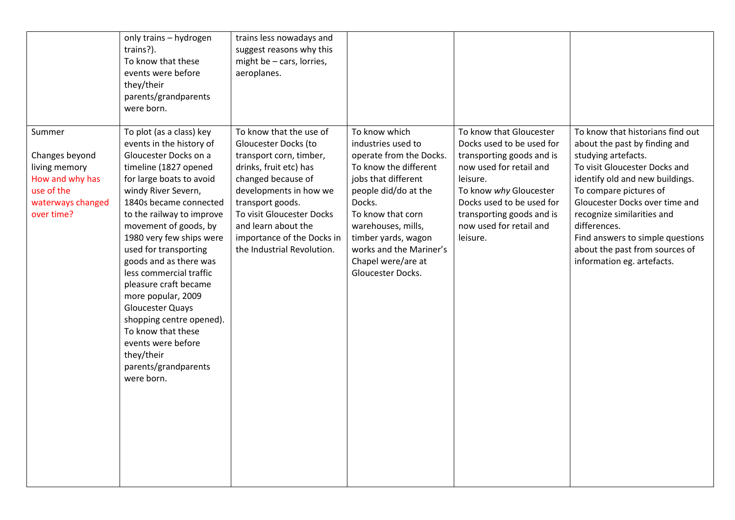|                                                                                                               | only trains - hydrogen<br>trains?).<br>To know that these<br>events were before<br>they/their<br>parents/grandparents<br>were born.                                                                                                                                                                                                                                                                                                                                                                                                                       | trains less nowadays and<br>suggest reasons why this<br>might be - cars, lorries,<br>aeroplanes.                                                                                                                                                                                         |                                                                                                                                                                                                                                                                                          |                                                                                                                                                                                                                                                     |                                                                                                                                                                                                                                                                                                                                                                            |
|---------------------------------------------------------------------------------------------------------------|-----------------------------------------------------------------------------------------------------------------------------------------------------------------------------------------------------------------------------------------------------------------------------------------------------------------------------------------------------------------------------------------------------------------------------------------------------------------------------------------------------------------------------------------------------------|------------------------------------------------------------------------------------------------------------------------------------------------------------------------------------------------------------------------------------------------------------------------------------------|------------------------------------------------------------------------------------------------------------------------------------------------------------------------------------------------------------------------------------------------------------------------------------------|-----------------------------------------------------------------------------------------------------------------------------------------------------------------------------------------------------------------------------------------------------|----------------------------------------------------------------------------------------------------------------------------------------------------------------------------------------------------------------------------------------------------------------------------------------------------------------------------------------------------------------------------|
| Summer<br>Changes beyond<br>living memory<br>How and why has<br>use of the<br>waterways changed<br>over time? | To plot (as a class) key<br>events in the history of<br>Gloucester Docks on a<br>timeline (1827 opened<br>for large boats to avoid<br>windy River Severn,<br>1840s became connected<br>to the railway to improve<br>movement of goods, by<br>1980 very few ships were<br>used for transporting<br>goods and as there was<br>less commercial traffic<br>pleasure craft became<br>more popular, 2009<br><b>Gloucester Quays</b><br>shopping centre opened).<br>To know that these<br>events were before<br>they/their<br>parents/grandparents<br>were born. | To know that the use of<br>Gloucester Docks (to<br>transport corn, timber,<br>drinks, fruit etc) has<br>changed because of<br>developments in how we<br>transport goods.<br>To visit Gloucester Docks<br>and learn about the<br>importance of the Docks in<br>the Industrial Revolution. | To know which<br>industries used to<br>operate from the Docks.<br>To know the different<br>jobs that different<br>people did/do at the<br>Docks.<br>To know that corn<br>warehouses, mills,<br>timber yards, wagon<br>works and the Mariner's<br>Chapel were/are at<br>Gloucester Docks. | To know that Gloucester<br>Docks used to be used for<br>transporting goods and is<br>now used for retail and<br>leisure.<br>To know why Gloucester<br>Docks used to be used for<br>transporting goods and is<br>now used for retail and<br>leisure. | To know that historians find out<br>about the past by finding and<br>studying artefacts.<br>To visit Gloucester Docks and<br>identify old and new buildings.<br>To compare pictures of<br>Gloucester Docks over time and<br>recognize similarities and<br>differences.<br>Find answers to simple questions<br>about the past from sources of<br>information eg. artefacts. |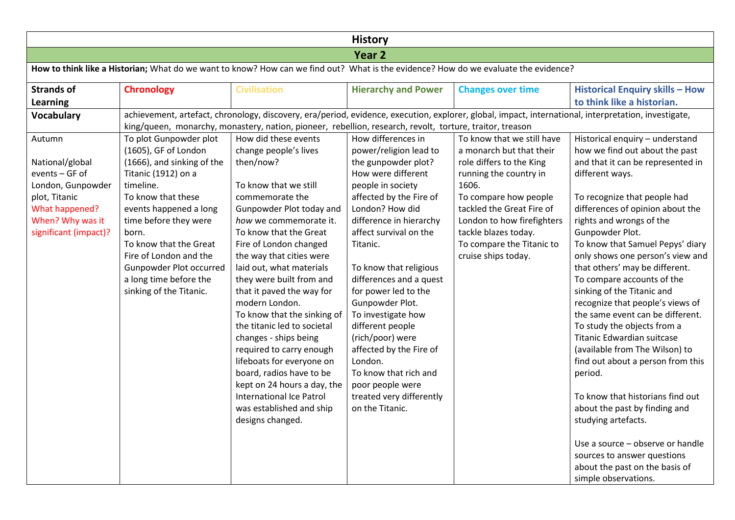| <b>History</b>                                                                                                                                   |                                                                                                                                                                                                                                                                                                                                        |                                                                                                                                                                                                                                                                                                                                                                                                                                            |                                                                                                                                                                                                                                                                                                                                                                                             |                                                                                                                                                                                                                                                                                       |                                                                                                                                                                                                                                                                                                                                                                                                                                                                                                                                                         |  |  |  |
|--------------------------------------------------------------------------------------------------------------------------------------------------|----------------------------------------------------------------------------------------------------------------------------------------------------------------------------------------------------------------------------------------------------------------------------------------------------------------------------------------|--------------------------------------------------------------------------------------------------------------------------------------------------------------------------------------------------------------------------------------------------------------------------------------------------------------------------------------------------------------------------------------------------------------------------------------------|---------------------------------------------------------------------------------------------------------------------------------------------------------------------------------------------------------------------------------------------------------------------------------------------------------------------------------------------------------------------------------------------|---------------------------------------------------------------------------------------------------------------------------------------------------------------------------------------------------------------------------------------------------------------------------------------|---------------------------------------------------------------------------------------------------------------------------------------------------------------------------------------------------------------------------------------------------------------------------------------------------------------------------------------------------------------------------------------------------------------------------------------------------------------------------------------------------------------------------------------------------------|--|--|--|
|                                                                                                                                                  |                                                                                                                                                                                                                                                                                                                                        |                                                                                                                                                                                                                                                                                                                                                                                                                                            | Year <sub>2</sub>                                                                                                                                                                                                                                                                                                                                                                           |                                                                                                                                                                                                                                                                                       |                                                                                                                                                                                                                                                                                                                                                                                                                                                                                                                                                         |  |  |  |
|                                                                                                                                                  | How to think like a Historian; What do we want to know? How can we find out? What is the evidence? How do we evaluate the evidence?                                                                                                                                                                                                    |                                                                                                                                                                                                                                                                                                                                                                                                                                            |                                                                                                                                                                                                                                                                                                                                                                                             |                                                                                                                                                                                                                                                                                       |                                                                                                                                                                                                                                                                                                                                                                                                                                                                                                                                                         |  |  |  |
| <b>Strands of</b><br><b>Learning</b>                                                                                                             | <b>Chronology</b>                                                                                                                                                                                                                                                                                                                      | <b>Civilisation</b>                                                                                                                                                                                                                                                                                                                                                                                                                        | <b>Hierarchy and Power</b>                                                                                                                                                                                                                                                                                                                                                                  | <b>Changes over time</b>                                                                                                                                                                                                                                                              | <b>Historical Enquiry skills - How</b><br>to think like a historian.                                                                                                                                                                                                                                                                                                                                                                                                                                                                                    |  |  |  |
| <b>Vocabulary</b>                                                                                                                                | achievement, artefact, chronology, discovery, era/period, evidence, execution, explorer, global, impact, international, interpretation, investigate,<br>king/queen, monarchy, monastery, nation, pioneer, rebellion, research, revolt, torture, traitor, treason                                                                       |                                                                                                                                                                                                                                                                                                                                                                                                                                            |                                                                                                                                                                                                                                                                                                                                                                                             |                                                                                                                                                                                                                                                                                       |                                                                                                                                                                                                                                                                                                                                                                                                                                                                                                                                                         |  |  |  |
| Autumn<br>National/global<br>events - GF of<br>London, Gunpowder<br>plot, Titanic<br>What happened?<br>When? Why was it<br>significant (impact)? | To plot Gunpowder plot<br>(1605), GF of London<br>(1666), and sinking of the<br>Titanic (1912) on a<br>timeline.<br>To know that these<br>events happened a long<br>time before they were<br>born.<br>To know that the Great<br>Fire of London and the<br>Gunpowder Plot occurred<br>a long time before the<br>sinking of the Titanic. | How did these events<br>change people's lives<br>then/now?<br>To know that we still<br>commemorate the<br>Gunpowder Plot today and<br>how we commemorate it.<br>To know that the Great<br>Fire of London changed<br>the way that cities were<br>laid out, what materials<br>they were built from and<br>that it paved the way for<br>modern London.<br>To know that the sinking of<br>the titanic led to societal<br>changes - ships being | How differences in<br>power/religion lead to<br>the gunpowder plot?<br>How were different<br>people in society<br>affected by the Fire of<br>London? How did<br>difference in hierarchy<br>affect survival on the<br>Titanic.<br>To know that religious<br>differences and a quest<br>for power led to the<br>Gunpowder Plot.<br>To investigate how<br>different people<br>(rich/poor) were | To know that we still have<br>a monarch but that their<br>role differs to the King<br>running the country in<br>1606.<br>To compare how people<br>tackled the Great Fire of<br>London to how firefighters<br>tackle blazes today.<br>To compare the Titanic to<br>cruise ships today. | Historical enquiry - understand<br>how we find out about the past<br>and that it can be represented in<br>different ways.<br>To recognize that people had<br>differences of opinion about the<br>rights and wrongs of the<br>Gunpowder Plot.<br>To know that Samuel Pepys' diary<br>only shows one person's view and<br>that others' may be different.<br>To compare accounts of the<br>sinking of the Titanic and<br>recognize that people's views of<br>the same event can be different.<br>To study the objects from a<br>Titanic Edwardian suitcase |  |  |  |
|                                                                                                                                                  |                                                                                                                                                                                                                                                                                                                                        | required to carry enough<br>lifeboats for everyone on<br>board, radios have to be<br>kept on 24 hours a day, the<br>International Ice Patrol<br>was established and ship<br>designs changed.                                                                                                                                                                                                                                               | affected by the Fire of<br>London.<br>To know that rich and<br>poor people were<br>treated very differently<br>on the Titanic.                                                                                                                                                                                                                                                              |                                                                                                                                                                                                                                                                                       | (available from The Wilson) to<br>find out about a person from this<br>period.<br>To know that historians find out<br>about the past by finding and<br>studying artefacts.<br>Use a source - observe or handle<br>sources to answer questions<br>about the past on the basis of<br>simple observations.                                                                                                                                                                                                                                                 |  |  |  |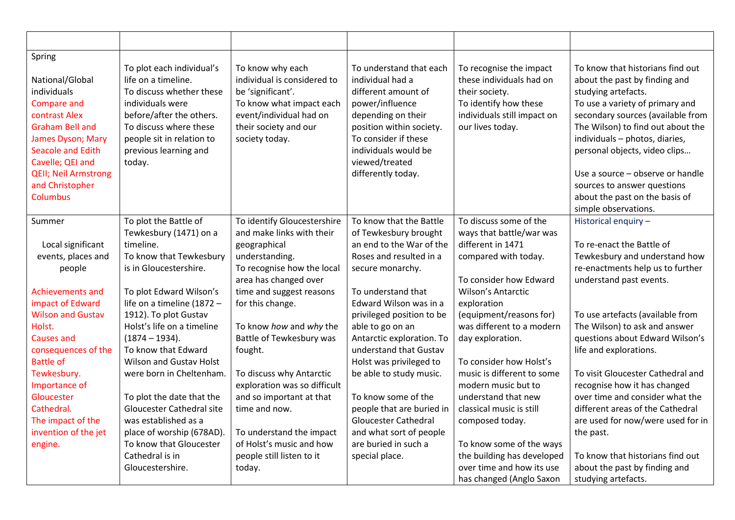| Spring<br>National/Global<br>individuals<br><b>Compare and</b><br>contrast Alex<br>Graham Bell and<br>James Dyson; Mary<br><b>Seacole and Edith</b><br>Cavelle; QEI and<br><b>QEII</b> ; Neil Armstrong<br>and Christopher<br><b>Columbus</b> | To plot each individual's<br>life on a timeline.<br>To discuss whether these<br>individuals were<br>before/after the others.<br>To discuss where these<br>people sit in relation to<br>previous learning and<br>today.                                                                                         | To know why each<br>individual is considered to<br>be 'significant'.<br>To know what impact each<br>event/individual had on<br>their society and our<br>society today.                                                                                              | To understand that each<br>individual had a<br>different amount of<br>power/influence<br>depending on their<br>position within society.<br>To consider if these<br>individuals would be<br>viewed/treated<br>differently today.                                                                                | To recognise the impact<br>these individuals had on<br>their society.<br>To identify how these<br>individuals still impact on<br>our lives today.                                                                                                                     | To know that historians find out<br>about the past by finding and<br>studying artefacts.<br>To use a variety of primary and<br>secondary sources (available from<br>The Wilson) to find out about the<br>individuals - photos, diaries,<br>personal objects, video clips<br>Use a source - observe or handle<br>sources to answer questions<br>about the past on the basis of<br>simple observations. |
|-----------------------------------------------------------------------------------------------------------------------------------------------------------------------------------------------------------------------------------------------|----------------------------------------------------------------------------------------------------------------------------------------------------------------------------------------------------------------------------------------------------------------------------------------------------------------|---------------------------------------------------------------------------------------------------------------------------------------------------------------------------------------------------------------------------------------------------------------------|----------------------------------------------------------------------------------------------------------------------------------------------------------------------------------------------------------------------------------------------------------------------------------------------------------------|-----------------------------------------------------------------------------------------------------------------------------------------------------------------------------------------------------------------------------------------------------------------------|-------------------------------------------------------------------------------------------------------------------------------------------------------------------------------------------------------------------------------------------------------------------------------------------------------------------------------------------------------------------------------------------------------|
| Summer<br>Local significant<br>events, places and<br>people<br>Achievements and<br>impact of Edward<br><b>Wilson and Gustav</b><br>Holst.<br><b>Causes and</b><br>consequences of the<br><b>Battle of</b>                                     | To plot the Battle of<br>Tewkesbury (1471) on a<br>timeline.<br>To know that Tewkesbury<br>is in Gloucestershire.<br>To plot Edward Wilson's<br>life on a timeline (1872 -<br>1912). To plot Gustav<br>Holst's life on a timeline<br>$(1874 - 1934).$<br>To know that Edward<br><b>Wilson and Gustav Holst</b> | To identify Gloucestershire<br>and make links with their<br>geographical<br>understanding.<br>To recognise how the local<br>area has changed over<br>time and suggest reasons<br>for this change.<br>To know how and why the<br>Battle of Tewkesbury was<br>fought. | To know that the Battle<br>of Tewkesbury brought<br>an end to the War of the<br>Roses and resulted in a<br>secure monarchy.<br>To understand that<br>Edward Wilson was in a<br>privileged position to be<br>able to go on an<br>Antarctic exploration. To<br>understand that Gustav<br>Holst was privileged to | To discuss some of the<br>ways that battle/war was<br>different in 1471<br>compared with today.<br>To consider how Edward<br>Wilson's Antarctic<br>exploration<br>(equipment/reasons for)<br>was different to a modern<br>day exploration.<br>To consider how Holst's | Historical enquiry -<br>To re-enact the Battle of<br>Tewkesbury and understand how<br>re-enactments help us to further<br>understand past events.<br>To use artefacts (available from<br>The Wilson) to ask and answer<br>questions about Edward Wilson's<br>life and explorations.                                                                                                                   |
| Tewkesbury.<br>Importance of<br>Gloucester<br>Cathedral.<br>The impact of the<br>invention of the jet<br>engine.                                                                                                                              | were born in Cheltenham.<br>To plot the date that the<br><b>Gloucester Cathedral site</b><br>was established as a<br>place of worship (678AD).<br>To know that Gloucester<br>Cathedral is in<br>Gloucestershire.                                                                                               | To discuss why Antarctic<br>exploration was so difficult<br>and so important at that<br>time and now.<br>To understand the impact<br>of Holst's music and how<br>people still listen to it<br>today.                                                                | be able to study music.<br>To know some of the<br>people that are buried in<br><b>Gloucester Cathedral</b><br>and what sort of people<br>are buried in such a<br>special place.                                                                                                                                | music is different to some<br>modern music but to<br>understand that new<br>classical music is still<br>composed today.<br>To know some of the ways<br>the building has developed<br>over time and how its use<br>has changed (Anglo Saxon                            | To visit Gloucester Cathedral and<br>recognise how it has changed<br>over time and consider what the<br>different areas of the Cathedral<br>are used for now/were used for in<br>the past.<br>To know that historians find out<br>about the past by finding and<br>studying artefacts.                                                                                                                |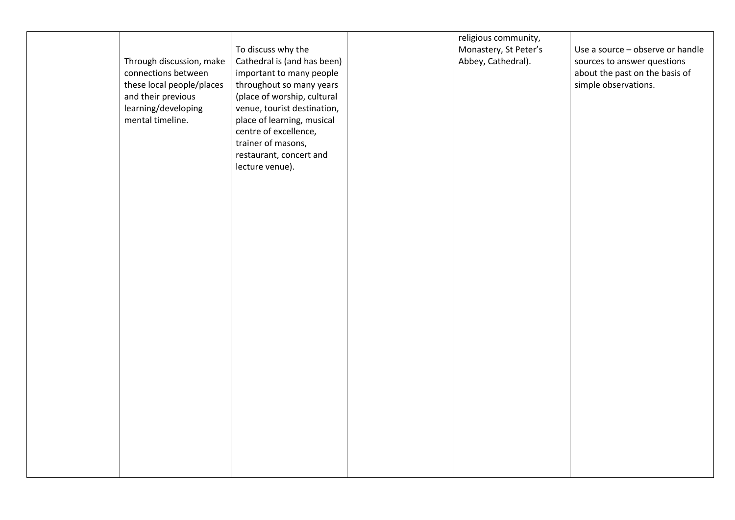|                           |                             | religious community,  |                                  |
|---------------------------|-----------------------------|-----------------------|----------------------------------|
|                           | To discuss why the          | Monastery, St Peter's | Use a source - observe or handle |
| Through discussion, make  | Cathedral is (and has been) | Abbey, Cathedral).    | sources to answer questions      |
| connections between       | important to many people    |                       | about the past on the basis of   |
| these local people/places | throughout so many years    |                       | simple observations.             |
|                           |                             |                       |                                  |
| and their previous        | (place of worship, cultural |                       |                                  |
| learning/developing       | venue, tourist destination, |                       |                                  |
| mental timeline.          | place of learning, musical  |                       |                                  |
|                           | centre of excellence,       |                       |                                  |
|                           | trainer of masons,          |                       |                                  |
|                           | restaurant, concert and     |                       |                                  |
|                           | lecture venue).             |                       |                                  |
|                           |                             |                       |                                  |
|                           |                             |                       |                                  |
|                           |                             |                       |                                  |
|                           |                             |                       |                                  |
|                           |                             |                       |                                  |
|                           |                             |                       |                                  |
|                           |                             |                       |                                  |
|                           |                             |                       |                                  |
|                           |                             |                       |                                  |
|                           |                             |                       |                                  |
|                           |                             |                       |                                  |
|                           |                             |                       |                                  |
|                           |                             |                       |                                  |
|                           |                             |                       |                                  |
|                           |                             |                       |                                  |
|                           |                             |                       |                                  |
|                           |                             |                       |                                  |
|                           |                             |                       |                                  |
|                           |                             |                       |                                  |
|                           |                             |                       |                                  |
|                           |                             |                       |                                  |
|                           |                             |                       |                                  |
|                           |                             |                       |                                  |
|                           |                             |                       |                                  |
|                           |                             |                       |                                  |
|                           |                             |                       |                                  |
|                           |                             |                       |                                  |
|                           |                             |                       |                                  |
|                           |                             |                       |                                  |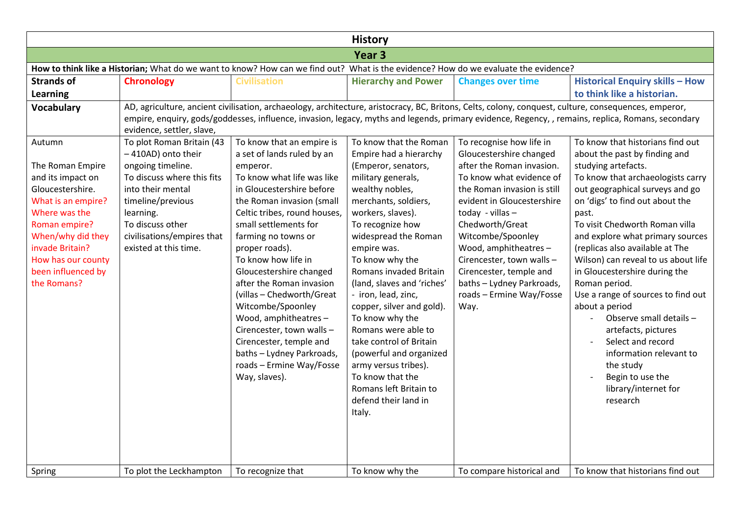|                                                                                                                                                                                                                                |                                                                                                                                                                                                                                      |                                                                                                                                                                                                                                                                                                                                                                                                                                                                                                                                                          | <b>History</b>                                                                                                                                                                                                                                                                                                                                                                                                                                                                                                                                                  |                                                                                                                                                                                                                                                                                                                                                                                         |                                                                                                                                                                                                                                                                                                                                                                                                                                                                                                                                                                                                                                               |  |  |  |  |
|--------------------------------------------------------------------------------------------------------------------------------------------------------------------------------------------------------------------------------|--------------------------------------------------------------------------------------------------------------------------------------------------------------------------------------------------------------------------------------|----------------------------------------------------------------------------------------------------------------------------------------------------------------------------------------------------------------------------------------------------------------------------------------------------------------------------------------------------------------------------------------------------------------------------------------------------------------------------------------------------------------------------------------------------------|-----------------------------------------------------------------------------------------------------------------------------------------------------------------------------------------------------------------------------------------------------------------------------------------------------------------------------------------------------------------------------------------------------------------------------------------------------------------------------------------------------------------------------------------------------------------|-----------------------------------------------------------------------------------------------------------------------------------------------------------------------------------------------------------------------------------------------------------------------------------------------------------------------------------------------------------------------------------------|-----------------------------------------------------------------------------------------------------------------------------------------------------------------------------------------------------------------------------------------------------------------------------------------------------------------------------------------------------------------------------------------------------------------------------------------------------------------------------------------------------------------------------------------------------------------------------------------------------------------------------------------------|--|--|--|--|
|                                                                                                                                                                                                                                | Year <sub>3</sub>                                                                                                                                                                                                                    |                                                                                                                                                                                                                                                                                                                                                                                                                                                                                                                                                          |                                                                                                                                                                                                                                                                                                                                                                                                                                                                                                                                                                 |                                                                                                                                                                                                                                                                                                                                                                                         |                                                                                                                                                                                                                                                                                                                                                                                                                                                                                                                                                                                                                                               |  |  |  |  |
|                                                                                                                                                                                                                                | How to think like a Historian; What do we want to know? How can we find out? What is the evidence? How do we evaluate the evidence?                                                                                                  |                                                                                                                                                                                                                                                                                                                                                                                                                                                                                                                                                          |                                                                                                                                                                                                                                                                                                                                                                                                                                                                                                                                                                 |                                                                                                                                                                                                                                                                                                                                                                                         |                                                                                                                                                                                                                                                                                                                                                                                                                                                                                                                                                                                                                                               |  |  |  |  |
| <b>Strands of</b>                                                                                                                                                                                                              | <b>Chronology</b>                                                                                                                                                                                                                    | <b>Civilisation</b>                                                                                                                                                                                                                                                                                                                                                                                                                                                                                                                                      | <b>Hierarchy and Power</b>                                                                                                                                                                                                                                                                                                                                                                                                                                                                                                                                      | <b>Changes over time</b>                                                                                                                                                                                                                                                                                                                                                                | <b>Historical Enquiry skills - How</b>                                                                                                                                                                                                                                                                                                                                                                                                                                                                                                                                                                                                        |  |  |  |  |
| Learning                                                                                                                                                                                                                       |                                                                                                                                                                                                                                      |                                                                                                                                                                                                                                                                                                                                                                                                                                                                                                                                                          |                                                                                                                                                                                                                                                                                                                                                                                                                                                                                                                                                                 |                                                                                                                                                                                                                                                                                                                                                                                         | to think like a historian.                                                                                                                                                                                                                                                                                                                                                                                                                                                                                                                                                                                                                    |  |  |  |  |
| <b>Vocabulary</b>                                                                                                                                                                                                              | evidence, settler, slave,                                                                                                                                                                                                            |                                                                                                                                                                                                                                                                                                                                                                                                                                                                                                                                                          |                                                                                                                                                                                                                                                                                                                                                                                                                                                                                                                                                                 |                                                                                                                                                                                                                                                                                                                                                                                         | AD, agriculture, ancient civilisation, archaeology, architecture, aristocracy, BC, Britons, Celts, colony, conquest, culture, consequences, emperor,<br>empire, enquiry, gods/goddesses, influence, invasion, legacy, myths and legends, primary evidence, Regency, , remains, replica, Romans, secondary                                                                                                                                                                                                                                                                                                                                     |  |  |  |  |
| Autumn<br>The Roman Empire<br>and its impact on<br>Gloucestershire.<br>What is an empire?<br>Where was the<br>Roman empire?<br>When/why did they<br>invade Britain?<br>How has our county<br>been influenced by<br>the Romans? | To plot Roman Britain (43<br>-410AD) onto their<br>ongoing timeline.<br>To discuss where this fits<br>into their mental<br>timeline/previous<br>learning.<br>To discuss other<br>civilisations/empires that<br>existed at this time. | To know that an empire is<br>a set of lands ruled by an<br>emperor.<br>To know what life was like<br>in Gloucestershire before<br>the Roman invasion (small<br>Celtic tribes, round houses,<br>small settlements for<br>farming no towns or<br>proper roads).<br>To know how life in<br>Gloucestershire changed<br>after the Roman invasion<br>(villas - Chedworth/Great<br>Witcombe/Spoonley<br>Wood, amphitheatres -<br>Cirencester, town walls -<br>Cirencester, temple and<br>baths - Lydney Parkroads,<br>roads - Ermine Way/Fosse<br>Way, slaves). | To know that the Roman<br>Empire had a hierarchy<br>(Emperor, senators,<br>military generals,<br>wealthy nobles,<br>merchants, soldiers,<br>workers, slaves).<br>To recognize how<br>widespread the Roman<br>empire was.<br>To know why the<br>Romans invaded Britain<br>(land, slaves and 'riches'<br>- iron, lead, zinc,<br>copper, silver and gold).<br>To know why the<br>Romans were able to<br>take control of Britain<br>(powerful and organized<br>army versus tribes).<br>To know that the<br>Romans left Britain to<br>defend their land in<br>Italy. | To recognise how life in<br>Gloucestershire changed<br>after the Roman invasion.<br>To know what evidence of<br>the Roman invasion is still<br>evident in Gloucestershire<br>today - villas -<br>Chedworth/Great<br>Witcombe/Spoonley<br>Wood, amphitheatres -<br>Cirencester, town walls -<br>Cirencester, temple and<br>baths - Lydney Parkroads,<br>roads - Ermine Way/Fosse<br>Way. | To know that historians find out<br>about the past by finding and<br>studying artefacts.<br>To know that archaeologists carry<br>out geographical surveys and go<br>on 'digs' to find out about the<br>past.<br>To visit Chedworth Roman villa<br>and explore what primary sources<br>(replicas also available at The<br>Wilson) can reveal to us about life<br>in Gloucestershire during the<br>Roman period.<br>Use a range of sources to find out<br>about a period<br>Observe small details -<br>artefacts, pictures<br>Select and record<br>information relevant to<br>the study<br>Begin to use the<br>library/internet for<br>research |  |  |  |  |
| Spring                                                                                                                                                                                                                         | To plot the Leckhampton                                                                                                                                                                                                              | To recognize that                                                                                                                                                                                                                                                                                                                                                                                                                                                                                                                                        | To know why the                                                                                                                                                                                                                                                                                                                                                                                                                                                                                                                                                 | To compare historical and                                                                                                                                                                                                                                                                                                                                                               | To know that historians find out                                                                                                                                                                                                                                                                                                                                                                                                                                                                                                                                                                                                              |  |  |  |  |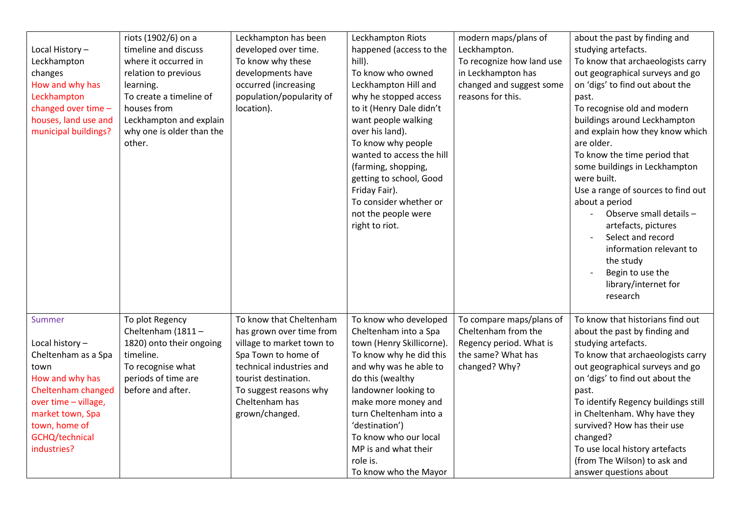| Local History-<br>Leckhampton<br>changes<br>How and why has<br>Leckhampton<br>changed over time -<br>houses, land use and<br>municipal buildings?                                              | riots (1902/6) on a<br>timeline and discuss<br>where it occurred in<br>relation to previous<br>learning.<br>To create a timeline of<br>houses from<br>Leckhampton and explain<br>why one is older than the<br>other. | Leckhampton has been<br>developed over time.<br>To know why these<br>developments have<br>occurred (increasing<br>population/popularity of<br>location).                                                                  | Leckhampton Riots<br>happened (access to the<br>hill).<br>To know who owned<br>Leckhampton Hill and<br>why he stopped access<br>to it (Henry Dale didn't<br>want people walking<br>over his land).<br>To know why people<br>wanted to access the hill<br>(farming, shopping,<br>getting to school, Good<br>Friday Fair).<br>To consider whether or<br>not the people were<br>right to riot. | modern maps/plans of<br>Leckhampton.<br>To recognize how land use<br>in Leckhampton has<br>changed and suggest some<br>reasons for this. | about the past by finding and<br>studying artefacts.<br>To know that archaeologists carry<br>out geographical surveys and go<br>on 'digs' to find out about the<br>past.<br>To recognise old and modern<br>buildings around Leckhampton<br>and explain how they know which<br>are older.<br>To know the time period that<br>some buildings in Leckhampton<br>were built.<br>Use a range of sources to find out<br>about a period<br>Observe small details -<br>artefacts, pictures<br>Select and record<br>information relevant to<br>the study<br>Begin to use the<br>library/internet for<br>research |
|------------------------------------------------------------------------------------------------------------------------------------------------------------------------------------------------|----------------------------------------------------------------------------------------------------------------------------------------------------------------------------------------------------------------------|---------------------------------------------------------------------------------------------------------------------------------------------------------------------------------------------------------------------------|---------------------------------------------------------------------------------------------------------------------------------------------------------------------------------------------------------------------------------------------------------------------------------------------------------------------------------------------------------------------------------------------|------------------------------------------------------------------------------------------------------------------------------------------|---------------------------------------------------------------------------------------------------------------------------------------------------------------------------------------------------------------------------------------------------------------------------------------------------------------------------------------------------------------------------------------------------------------------------------------------------------------------------------------------------------------------------------------------------------------------------------------------------------|
| Summer<br>Local history-<br>Cheltenham as a Spa<br>town<br>How and why has<br>Cheltenham changed<br>over time - village,<br>market town, Spa<br>town, home of<br>GCHQ/technical<br>industries? | To plot Regency<br>Cheltenham (1811-<br>1820) onto their ongoing<br>timeline.<br>To recognise what<br>periods of time are<br>before and after.                                                                       | To know that Cheltenham<br>has grown over time from<br>village to market town to<br>Spa Town to home of<br>technical industries and<br>tourist destination.<br>To suggest reasons why<br>Cheltenham has<br>grown/changed. | To know who developed<br>Cheltenham into a Spa<br>town (Henry Skillicorne).<br>To know why he did this<br>and why was he able to<br>do this (wealthy<br>landowner looking to<br>make more money and<br>turn Cheltenham into a<br>'destination')<br>To know who our local<br>MP is and what their<br>role is.<br>To know who the Mayor                                                       | To compare maps/plans of<br>Cheltenham from the<br>Regency period. What is<br>the same? What has<br>changed? Why?                        | To know that historians find out<br>about the past by finding and<br>studying artefacts.<br>To know that archaeologists carry<br>out geographical surveys and go<br>on 'digs' to find out about the<br>past.<br>To identify Regency buildings still<br>in Cheltenham. Why have they<br>survived? How has their use<br>changed?<br>To use local history artefacts<br>(from The Wilson) to ask and<br>answer questions about                                                                                                                                                                              |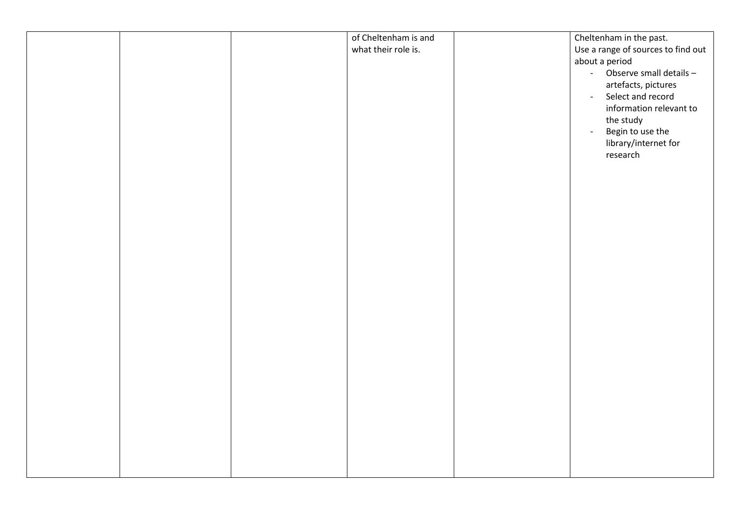|  | of Cheltenham is and<br>what their role is. | Cheltenham in the past.<br>Use a range of sources to find out<br>about a period<br>- Observe small details -<br>artefacts, pictures<br>Select and record<br>$\mathbb{Z}^{\mathbb{Z}}$<br>information relevant to<br>the study<br>Begin to use the<br>$\mathbb{L}^+$<br>library/internet for<br>research |
|--|---------------------------------------------|---------------------------------------------------------------------------------------------------------------------------------------------------------------------------------------------------------------------------------------------------------------------------------------------------------|
|  |                                             |                                                                                                                                                                                                                                                                                                         |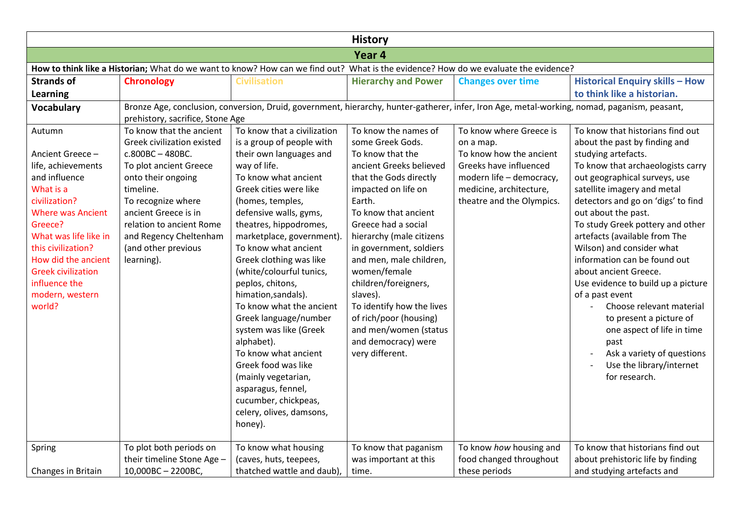| <b>History</b>                                                                                                                                                                                                                                                                          |                                                                                                                                                                                                                                                                                |                                                                                                                                                                                                                                                                                                                                                                                                                                                                                                                                                                                                                                              |                                                                                                                                                                                                                                                                                                                                                                                                                                                                   |                                                                                                                                                                               |                                                                                                                                                                                                                                                                                                                                                                                                                                                                                                                                                                                                                                                        |  |  |  |
|-----------------------------------------------------------------------------------------------------------------------------------------------------------------------------------------------------------------------------------------------------------------------------------------|--------------------------------------------------------------------------------------------------------------------------------------------------------------------------------------------------------------------------------------------------------------------------------|----------------------------------------------------------------------------------------------------------------------------------------------------------------------------------------------------------------------------------------------------------------------------------------------------------------------------------------------------------------------------------------------------------------------------------------------------------------------------------------------------------------------------------------------------------------------------------------------------------------------------------------------|-------------------------------------------------------------------------------------------------------------------------------------------------------------------------------------------------------------------------------------------------------------------------------------------------------------------------------------------------------------------------------------------------------------------------------------------------------------------|-------------------------------------------------------------------------------------------------------------------------------------------------------------------------------|--------------------------------------------------------------------------------------------------------------------------------------------------------------------------------------------------------------------------------------------------------------------------------------------------------------------------------------------------------------------------------------------------------------------------------------------------------------------------------------------------------------------------------------------------------------------------------------------------------------------------------------------------------|--|--|--|
| Year 4                                                                                                                                                                                                                                                                                  |                                                                                                                                                                                                                                                                                |                                                                                                                                                                                                                                                                                                                                                                                                                                                                                                                                                                                                                                              |                                                                                                                                                                                                                                                                                                                                                                                                                                                                   |                                                                                                                                                                               |                                                                                                                                                                                                                                                                                                                                                                                                                                                                                                                                                                                                                                                        |  |  |  |
|                                                                                                                                                                                                                                                                                         | How to think like a Historian; What do we want to know? How can we find out? What is the evidence? How do we evaluate the evidence?                                                                                                                                            |                                                                                                                                                                                                                                                                                                                                                                                                                                                                                                                                                                                                                                              |                                                                                                                                                                                                                                                                                                                                                                                                                                                                   |                                                                                                                                                                               |                                                                                                                                                                                                                                                                                                                                                                                                                                                                                                                                                                                                                                                        |  |  |  |
| <b>Strands of</b>                                                                                                                                                                                                                                                                       | <b>Chronology</b>                                                                                                                                                                                                                                                              | <b>Civilisation</b>                                                                                                                                                                                                                                                                                                                                                                                                                                                                                                                                                                                                                          | <b>Hierarchy and Power</b>                                                                                                                                                                                                                                                                                                                                                                                                                                        | <b>Changes over time</b>                                                                                                                                                      | <b>Historical Enquiry skills - How</b>                                                                                                                                                                                                                                                                                                                                                                                                                                                                                                                                                                                                                 |  |  |  |
| Learning                                                                                                                                                                                                                                                                                |                                                                                                                                                                                                                                                                                |                                                                                                                                                                                                                                                                                                                                                                                                                                                                                                                                                                                                                                              |                                                                                                                                                                                                                                                                                                                                                                                                                                                                   |                                                                                                                                                                               | to think like a historian.                                                                                                                                                                                                                                                                                                                                                                                                                                                                                                                                                                                                                             |  |  |  |
| <b>Vocabulary</b>                                                                                                                                                                                                                                                                       | prehistory, sacrifice, Stone Age                                                                                                                                                                                                                                               | Bronze Age, conclusion, conversion, Druid, government, hierarchy, hunter-gatherer, infer, Iron Age, metal-working, nomad, paganism, peasant,                                                                                                                                                                                                                                                                                                                                                                                                                                                                                                 |                                                                                                                                                                                                                                                                                                                                                                                                                                                                   |                                                                                                                                                                               |                                                                                                                                                                                                                                                                                                                                                                                                                                                                                                                                                                                                                                                        |  |  |  |
| Autumn<br>Ancient Greece -<br>life, achievements<br>and influence<br>What is a<br>civilization?<br><b>Where was Ancient</b><br>Greece?<br>What was life like in<br>this civilization?<br>How did the ancient<br><b>Greek civilization</b><br>influence the<br>modern, western<br>world? | To know that the ancient<br>Greek civilization existed<br>c.800BC-480BC.<br>To plot ancient Greece<br>onto their ongoing<br>timeline.<br>To recognize where<br>ancient Greece is in<br>relation to ancient Rome<br>and Regency Cheltenham<br>(and other previous<br>learning). | To know that a civilization<br>is a group of people with<br>their own languages and<br>way of life.<br>To know what ancient<br>Greek cities were like<br>(homes, temples,<br>defensive walls, gyms,<br>theatres, hippodromes,<br>marketplace, government).<br>To know what ancient<br>Greek clothing was like<br>(white/colourful tunics,<br>peplos, chitons,<br>himation, sandals).<br>To know what the ancient<br>Greek language/number<br>system was like (Greek<br>alphabet).<br>To know what ancient<br>Greek food was like<br>(mainly vegetarian,<br>asparagus, fennel,<br>cucumber, chickpeas,<br>celery, olives, damsons,<br>honey). | To know the names of<br>some Greek Gods.<br>To know that the<br>ancient Greeks believed<br>that the Gods directly<br>impacted on life on<br>Earth.<br>To know that ancient<br>Greece had a social<br>hierarchy (male citizens<br>in government, soldiers<br>and men, male children,<br>women/female<br>children/foreigners,<br>slaves).<br>To identify how the lives<br>of rich/poor (housing)<br>and men/women (status<br>and democracy) were<br>very different. | To know where Greece is<br>on a map.<br>To know how the ancient<br>Greeks have influenced<br>modern life - democracy,<br>medicine, architecture,<br>theatre and the Olympics. | To know that historians find out<br>about the past by finding and<br>studying artefacts.<br>To know that archaeologists carry<br>out geographical surveys, use<br>satellite imagery and metal<br>detectors and go on 'digs' to find<br>out about the past.<br>To study Greek pottery and other<br>artefacts (available from The<br>Wilson) and consider what<br>information can be found out<br>about ancient Greece.<br>Use evidence to build up a picture<br>of a past event<br>Choose relevant material<br>to present a picture of<br>one aspect of life in time<br>past<br>Ask a variety of questions<br>Use the library/internet<br>for research. |  |  |  |
| Spring<br>Changes in Britain                                                                                                                                                                                                                                                            | To plot both periods on<br>their timeline Stone Age -<br>10,000BC - 2200BC,                                                                                                                                                                                                    | To know what housing<br>(caves, huts, teepees,<br>thatched wattle and daub),                                                                                                                                                                                                                                                                                                                                                                                                                                                                                                                                                                 | To know that paganism<br>was important at this<br>time.                                                                                                                                                                                                                                                                                                                                                                                                           | To know how housing and<br>food changed throughout<br>these periods                                                                                                           | To know that historians find out<br>about prehistoric life by finding<br>and studying artefacts and                                                                                                                                                                                                                                                                                                                                                                                                                                                                                                                                                    |  |  |  |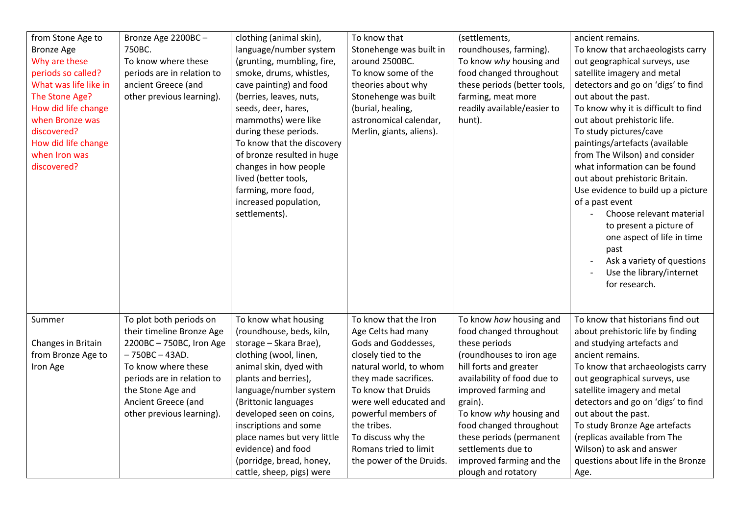| from Stone Age to                    | Bronze Age 2200BC-         | clothing (animal skin),     | To know that             | (settlements,                | ancient remains.                            |
|--------------------------------------|----------------------------|-----------------------------|--------------------------|------------------------------|---------------------------------------------|
| <b>Bronze Age</b>                    | 750BC.                     | language/number system      | Stonehenge was built in  | roundhouses, farming).       | To know that archaeologists carry           |
| Why are these                        | To know where these        | (grunting, mumbling, fire,  | around 2500BC.           | To know why housing and      | out geographical surveys, use               |
| periods so called?                   | periods are in relation to | smoke, drums, whistles,     | To know some of the      | food changed throughout      | satellite imagery and metal                 |
| What was life like in                | ancient Greece (and        | cave painting) and food     | theories about why       | these periods (better tools, | detectors and go on 'digs' to find          |
| The Stone Age?                       | other previous learning).  | (berries, leaves, nuts,     | Stonehenge was built     | farming, meat more           | out about the past.                         |
| How did life change                  |                            | seeds, deer, hares,         | (burial, healing,        | readily available/easier to  | To know why it is difficult to find         |
| when Bronze was                      |                            | mammoths) were like         | astronomical calendar,   | hunt).                       | out about prehistoric life.                 |
| discovered?                          |                            | during these periods.       | Merlin, giants, aliens). |                              | To study pictures/cave                      |
|                                      |                            | To know that the discovery  |                          |                              | paintings/artefacts (available              |
| How did life change<br>when Iron was |                            | of bronze resulted in huge  |                          |                              | from The Wilson) and consider               |
| discovered?                          |                            |                             |                          |                              | what information can be found               |
|                                      |                            | changes in how people       |                          |                              |                                             |
|                                      |                            | lived (better tools,        |                          |                              | out about prehistoric Britain.              |
|                                      |                            | farming, more food,         |                          |                              | Use evidence to build up a picture          |
|                                      |                            | increased population,       |                          |                              | of a past event<br>Choose relevant material |
|                                      |                            | settlements).               |                          |                              |                                             |
|                                      |                            |                             |                          |                              | to present a picture of                     |
|                                      |                            |                             |                          |                              | one aspect of life in time                  |
|                                      |                            |                             |                          |                              | past                                        |
|                                      |                            |                             |                          |                              | Ask a variety of questions                  |
|                                      |                            |                             |                          |                              | Use the library/internet                    |
|                                      |                            |                             |                          |                              | for research.                               |
|                                      |                            |                             |                          |                              |                                             |
|                                      |                            |                             |                          |                              |                                             |
| Summer                               | To plot both periods on    | To know what housing        | To know that the Iron    | To know how housing and      | To know that historians find out            |
|                                      | their timeline Bronze Age  | (roundhouse, beds, kiln,    | Age Celts had many       | food changed throughout      | about prehistoric life by finding           |
| Changes in Britain                   | 2200BC - 750BC, Iron Age   | storage - Skara Brae),      | Gods and Goddesses,      | these periods                | and studying artefacts and                  |
| from Bronze Age to                   | $-750BC - 43AD$ .          | clothing (wool, linen,      | closely tied to the      | (roundhouses to iron age     | ancient remains.                            |
| Iron Age                             | To know where these        | animal skin, dyed with      | natural world, to whom   | hill forts and greater       | To know that archaeologists carry           |
|                                      | periods are in relation to | plants and berries),        | they made sacrifices.    | availability of food due to  | out geographical surveys, use               |
|                                      | the Stone Age and          | language/number system      | To know that Druids      | improved farming and         | satellite imagery and metal                 |
|                                      | Ancient Greece (and        | (Brittonic languages        | were well educated and   | grain).                      | detectors and go on 'digs' to find          |
|                                      | other previous learning).  | developed seen on coins,    | powerful members of      | To know why housing and      | out about the past.                         |
|                                      |                            | inscriptions and some       | the tribes.              | food changed throughout      | To study Bronze Age artefacts               |
|                                      |                            | place names but very little | To discuss why the       | these periods (permanent     | (replicas available from The                |
|                                      |                            | evidence) and food          | Romans tried to limit    | settlements due to           | Wilson) to ask and answer                   |
|                                      |                            | (porridge, bread, honey,    | the power of the Druids. | improved farming and the     | questions about life in the Bronze          |
|                                      |                            | cattle, sheep, pigs) were   |                          | plough and rotatory          | Age.                                        |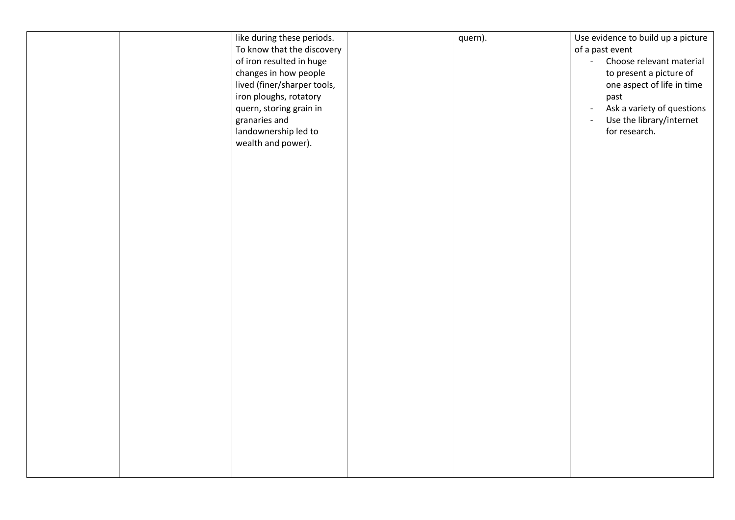|  | like during these periods.<br>To know that the discovery<br>of iron resulted in huge<br>changes in how people<br>lived (finer/sharper tools,<br>iron ploughs, rotatory<br>quern, storing grain in<br>granaries and<br>landownership led to<br>wealth and power). | quern). | Use evidence to build up a picture<br>of a past event<br>Choose relevant material<br>$\omega_{\rm{eff}}$<br>to present a picture of<br>one aspect of life in time<br>past<br>Ask a variety of questions<br>$\blacksquare$<br>Use the library/internet<br>$\overline{\phantom{a}}$<br>for research. |
|--|------------------------------------------------------------------------------------------------------------------------------------------------------------------------------------------------------------------------------------------------------------------|---------|----------------------------------------------------------------------------------------------------------------------------------------------------------------------------------------------------------------------------------------------------------------------------------------------------|
|  |                                                                                                                                                                                                                                                                  |         |                                                                                                                                                                                                                                                                                                    |
|  |                                                                                                                                                                                                                                                                  |         |                                                                                                                                                                                                                                                                                                    |
|  |                                                                                                                                                                                                                                                                  |         |                                                                                                                                                                                                                                                                                                    |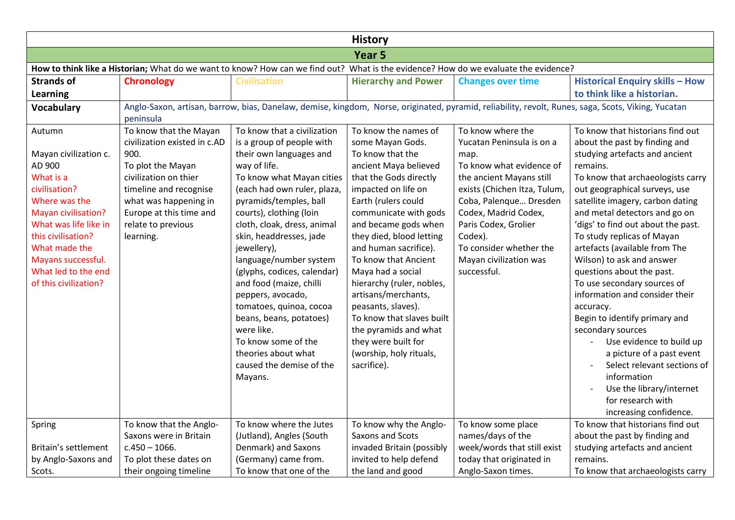|                                                                                                                                                                                                                                                       | <b>History</b>                                                                                                                                                                                                                |                                                                                                                                                                                                                                                                                                                                                                                                                                                                                                                                                                 |                                                                                                                                                                                                                                                                                                                                                                                                                                                                                                                   |                                                                                                                                                                                                                                                                                                         |                                                                                                                                                                                                                                                                                                                                                                                                                                                                                                                                                                                                                                                                                                                                                 |  |  |  |  |
|-------------------------------------------------------------------------------------------------------------------------------------------------------------------------------------------------------------------------------------------------------|-------------------------------------------------------------------------------------------------------------------------------------------------------------------------------------------------------------------------------|-----------------------------------------------------------------------------------------------------------------------------------------------------------------------------------------------------------------------------------------------------------------------------------------------------------------------------------------------------------------------------------------------------------------------------------------------------------------------------------------------------------------------------------------------------------------|-------------------------------------------------------------------------------------------------------------------------------------------------------------------------------------------------------------------------------------------------------------------------------------------------------------------------------------------------------------------------------------------------------------------------------------------------------------------------------------------------------------------|---------------------------------------------------------------------------------------------------------------------------------------------------------------------------------------------------------------------------------------------------------------------------------------------------------|-------------------------------------------------------------------------------------------------------------------------------------------------------------------------------------------------------------------------------------------------------------------------------------------------------------------------------------------------------------------------------------------------------------------------------------------------------------------------------------------------------------------------------------------------------------------------------------------------------------------------------------------------------------------------------------------------------------------------------------------------|--|--|--|--|
|                                                                                                                                                                                                                                                       | Year <sub>5</sub>                                                                                                                                                                                                             |                                                                                                                                                                                                                                                                                                                                                                                                                                                                                                                                                                 |                                                                                                                                                                                                                                                                                                                                                                                                                                                                                                                   |                                                                                                                                                                                                                                                                                                         |                                                                                                                                                                                                                                                                                                                                                                                                                                                                                                                                                                                                                                                                                                                                                 |  |  |  |  |
|                                                                                                                                                                                                                                                       | How to think like a Historian; What do we want to know? How can we find out? What is the evidence? How do we evaluate the evidence?                                                                                           |                                                                                                                                                                                                                                                                                                                                                                                                                                                                                                                                                                 |                                                                                                                                                                                                                                                                                                                                                                                                                                                                                                                   |                                                                                                                                                                                                                                                                                                         |                                                                                                                                                                                                                                                                                                                                                                                                                                                                                                                                                                                                                                                                                                                                                 |  |  |  |  |
| <b>Strands of</b>                                                                                                                                                                                                                                     | <b>Chronology</b>                                                                                                                                                                                                             | <b>Civilisation</b>                                                                                                                                                                                                                                                                                                                                                                                                                                                                                                                                             | <b>Hierarchy and Power</b>                                                                                                                                                                                                                                                                                                                                                                                                                                                                                        | <b>Changes over time</b>                                                                                                                                                                                                                                                                                | <b>Historical Enquiry skills - How</b>                                                                                                                                                                                                                                                                                                                                                                                                                                                                                                                                                                                                                                                                                                          |  |  |  |  |
| Learning                                                                                                                                                                                                                                              |                                                                                                                                                                                                                               |                                                                                                                                                                                                                                                                                                                                                                                                                                                                                                                                                                 |                                                                                                                                                                                                                                                                                                                                                                                                                                                                                                                   |                                                                                                                                                                                                                                                                                                         | to think like a historian.                                                                                                                                                                                                                                                                                                                                                                                                                                                                                                                                                                                                                                                                                                                      |  |  |  |  |
| <b>Vocabulary</b>                                                                                                                                                                                                                                     | peninsula                                                                                                                                                                                                                     |                                                                                                                                                                                                                                                                                                                                                                                                                                                                                                                                                                 |                                                                                                                                                                                                                                                                                                                                                                                                                                                                                                                   |                                                                                                                                                                                                                                                                                                         | Anglo-Saxon, artisan, barrow, bias, Danelaw, demise, kingdom, Norse, originated, pyramid, reliability, revolt, Runes, saga, Scots, Viking, Yucatan                                                                                                                                                                                                                                                                                                                                                                                                                                                                                                                                                                                              |  |  |  |  |
| Autumn<br>Mayan civilization c.<br>AD 900<br>What is a<br>civilisation?<br>Where was the<br>Mayan civilisation?<br>What was life like in<br>this civilisation?<br>What made the<br>Mayans successful.<br>What led to the end<br>of this civilization? | To know that the Mayan<br>civilization existed in c.AD<br>900.<br>To plot the Mayan<br>civilization on thier<br>timeline and recognise<br>what was happening in<br>Europe at this time and<br>relate to previous<br>learning. | To know that a civilization<br>is a group of people with<br>their own languages and<br>way of life.<br>To know what Mayan cities<br>(each had own ruler, plaza,<br>pyramids/temples, ball<br>courts), clothing (loin<br>cloth, cloak, dress, animal<br>skin, headdresses, jade<br>jewellery),<br>language/number system<br>(glyphs, codices, calendar)<br>and food (maize, chilli<br>peppers, avocado,<br>tomatoes, quinoa, cocoa<br>beans, beans, potatoes)<br>were like.<br>To know some of the<br>theories about what<br>caused the demise of the<br>Mayans. | To know the names of<br>some Mayan Gods.<br>To know that the<br>ancient Maya believed<br>that the Gods directly<br>impacted on life on<br>Earth (rulers could<br>communicate with gods<br>and became gods when<br>they died, blood letting<br>and human sacrifice).<br>To know that Ancient<br>Maya had a social<br>hierarchy (ruler, nobles,<br>artisans/merchants,<br>peasants, slaves).<br>To know that slaves built<br>the pyramids and what<br>they were built for<br>(worship, holy rituals,<br>sacrifice). | To know where the<br>Yucatan Peninsula is on a<br>map.<br>To know what evidence of<br>the ancient Mayans still<br>exists (Chichen Itza, Tulum,<br>Coba, Palenque Dresden<br>Codex, Madrid Codex,<br>Paris Codex, Grolier<br>Codex).<br>To consider whether the<br>Mayan civilization was<br>successful. | To know that historians find out<br>about the past by finding and<br>studying artefacts and ancient<br>remains.<br>To know that archaeologists carry<br>out geographical surveys, use<br>satellite imagery, carbon dating<br>and metal detectors and go on<br>'digs' to find out about the past.<br>To study replicas of Mayan<br>artefacts (available from The<br>Wilson) to ask and answer<br>questions about the past.<br>To use secondary sources of<br>information and consider their<br>accuracy.<br>Begin to identify primary and<br>secondary sources<br>Use evidence to build up<br>a picture of a past event<br>Select relevant sections of<br>information<br>Use the library/internet<br>for research with<br>increasing confidence. |  |  |  |  |
| Spring                                                                                                                                                                                                                                                | To know that the Anglo-                                                                                                                                                                                                       | To know where the Jutes                                                                                                                                                                                                                                                                                                                                                                                                                                                                                                                                         | To know why the Anglo-                                                                                                                                                                                                                                                                                                                                                                                                                                                                                            | To know some place                                                                                                                                                                                                                                                                                      | To know that historians find out                                                                                                                                                                                                                                                                                                                                                                                                                                                                                                                                                                                                                                                                                                                |  |  |  |  |
|                                                                                                                                                                                                                                                       | Saxons were in Britain                                                                                                                                                                                                        | (Jutland), Angles (South                                                                                                                                                                                                                                                                                                                                                                                                                                                                                                                                        | Saxons and Scots                                                                                                                                                                                                                                                                                                                                                                                                                                                                                                  | names/days of the                                                                                                                                                                                                                                                                                       | about the past by finding and                                                                                                                                                                                                                                                                                                                                                                                                                                                                                                                                                                                                                                                                                                                   |  |  |  |  |
| Britain's settlement                                                                                                                                                                                                                                  | $c.450 - 1066.$                                                                                                                                                                                                               | Denmark) and Saxons                                                                                                                                                                                                                                                                                                                                                                                                                                                                                                                                             | invaded Britain (possibly                                                                                                                                                                                                                                                                                                                                                                                                                                                                                         | week/words that still exist                                                                                                                                                                                                                                                                             | studying artefacts and ancient                                                                                                                                                                                                                                                                                                                                                                                                                                                                                                                                                                                                                                                                                                                  |  |  |  |  |
| by Anglo-Saxons and<br>Scots.                                                                                                                                                                                                                         | To plot these dates on                                                                                                                                                                                                        | (Germany) came from.<br>To know that one of the                                                                                                                                                                                                                                                                                                                                                                                                                                                                                                                 | invited to help defend                                                                                                                                                                                                                                                                                                                                                                                                                                                                                            | today that originated in<br>Anglo-Saxon times.                                                                                                                                                                                                                                                          | remains.                                                                                                                                                                                                                                                                                                                                                                                                                                                                                                                                                                                                                                                                                                                                        |  |  |  |  |
|                                                                                                                                                                                                                                                       | their ongoing timeline                                                                                                                                                                                                        |                                                                                                                                                                                                                                                                                                                                                                                                                                                                                                                                                                 | the land and good                                                                                                                                                                                                                                                                                                                                                                                                                                                                                                 |                                                                                                                                                                                                                                                                                                         | To know that archaeologists carry                                                                                                                                                                                                                                                                                                                                                                                                                                                                                                                                                                                                                                                                                                               |  |  |  |  |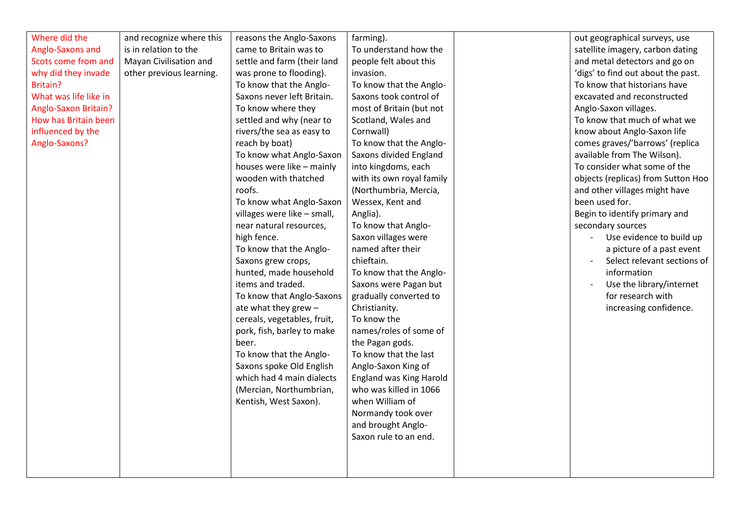| Where did the         | and recognize where this | reasons the Anglo-Saxons    | farming).                 | out geographical surveys, use      |
|-----------------------|--------------------------|-----------------------------|---------------------------|------------------------------------|
| Anglo-Saxons and      | is in relation to the    | came to Britain was to      | To understand how the     | satellite imagery, carbon dating   |
| Scots come from and   | Mayan Civilisation and   | settle and farm (their land | people felt about this    | and metal detectors and go on      |
| why did they invade   | other previous learning. | was prone to flooding).     | invasion.                 | 'digs' to find out about the past. |
| Britain?              |                          | To know that the Anglo-     | To know that the Anglo-   | To know that historians have       |
| What was life like in |                          | Saxons never left Britain.  | Saxons took control of    | excavated and reconstructed        |
| Anglo-Saxon Britain?  |                          | To know where they          | most of Britain (but not  | Anglo-Saxon villages.              |
| How has Britain been  |                          | settled and why (near to    | Scotland, Wales and       | To know that much of what we       |
| influenced by the     |                          | rivers/the sea as easy to   | Cornwall)                 | know about Anglo-Saxon life        |
| Anglo-Saxons?         |                          | reach by boat)              | To know that the Anglo-   | comes graves/'barrows' (replica    |
|                       |                          | To know what Anglo-Saxon    | Saxons divided England    | available from The Wilson).        |
|                       |                          | houses were like - mainly   | into kingdoms, each       | To consider what some of the       |
|                       |                          | wooden with thatched        | with its own royal family | objects (replicas) from Sutton Hoo |
|                       |                          | roofs.                      | (Northumbria, Mercia,     | and other villages might have      |
|                       |                          | To know what Anglo-Saxon    | Wessex, Kent and          | been used for.                     |
|                       |                          | villages were like - small, | Anglia).                  | Begin to identify primary and      |
|                       |                          | near natural resources,     | To know that Anglo-       | secondary sources                  |
|                       |                          | high fence.                 | Saxon villages were       | Use evidence to build up           |
|                       |                          | To know that the Anglo-     | named after their         | a picture of a past event          |
|                       |                          | Saxons grew crops,          | chieftain.                | Select relevant sections of        |
|                       |                          | hunted, made household      | To know that the Anglo-   | information                        |
|                       |                          | items and traded.           | Saxons were Pagan but     | Use the library/internet           |
|                       |                          | To know that Anglo-Saxons   | gradually converted to    | for research with                  |
|                       |                          | ate what they grew -        | Christianity.             | increasing confidence.             |
|                       |                          | cereals, vegetables, fruit, | To know the               |                                    |
|                       |                          | pork, fish, barley to make  | names/roles of some of    |                                    |
|                       |                          | beer.                       | the Pagan gods.           |                                    |
|                       |                          | To know that the Anglo-     | To know that the last     |                                    |
|                       |                          | Saxons spoke Old English    | Anglo-Saxon King of       |                                    |
|                       |                          | which had 4 main dialects   | England was King Harold   |                                    |
|                       |                          | (Mercian, Northumbrian,     | who was killed in 1066    |                                    |
|                       |                          | Kentish, West Saxon).       | when William of           |                                    |
|                       |                          |                             | Normandy took over        |                                    |
|                       |                          |                             | and brought Anglo-        |                                    |
|                       |                          |                             | Saxon rule to an end.     |                                    |
|                       |                          |                             |                           |                                    |
|                       |                          |                             |                           |                                    |
|                       |                          |                             |                           |                                    |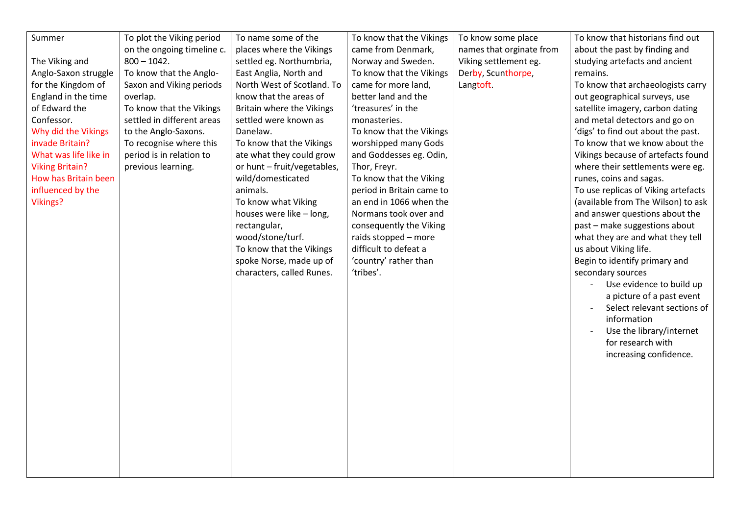| Summer                 | To plot the Viking period  | To name some of the         | To know that the Vikings  | To know some place       | To know that historians find out    |
|------------------------|----------------------------|-----------------------------|---------------------------|--------------------------|-------------------------------------|
|                        | on the ongoing timeline c. | places where the Vikings    | came from Denmark,        | names that orginate from | about the past by finding and       |
| The Viking and         | $800 - 1042.$              | settled eg. Northumbria,    | Norway and Sweden.        | Viking settlement eg.    | studying artefacts and ancient      |
| Anglo-Saxon struggle   | To know that the Anglo-    | East Anglia, North and      | To know that the Vikings  | Derby, Scunthorpe,       | remains.                            |
| for the Kingdom of     | Saxon and Viking periods   | North West of Scotland. To  | came for more land,       | Langtoft.                | To know that archaeologists carry   |
| England in the time    | overlap.                   | know that the areas of      | better land and the       |                          | out geographical surveys, use       |
| of Edward the          | To know that the Vikings   | Britain where the Vikings   | 'treasures' in the        |                          | satellite imagery, carbon dating    |
| Confessor.             | settled in different areas | settled were known as       | monasteries.              |                          | and metal detectors and go on       |
| Why did the Vikings    | to the Anglo-Saxons.       | Danelaw.                    | To know that the Vikings  |                          | 'digs' to find out about the past.  |
| invade Britain?        | To recognise where this    | To know that the Vikings    | worshipped many Gods      |                          | To know that we know about the      |
| What was life like in  | period is in relation to   | ate what they could grow    | and Goddesses eg. Odin,   |                          | Vikings because of artefacts found  |
| <b>Viking Britain?</b> | previous learning.         | or hunt - fruit/vegetables, | Thor, Freyr.              |                          | where their settlements were eg.    |
| How has Britain been   |                            | wild/domesticated           | To know that the Viking   |                          | runes, coins and sagas.             |
| influenced by the      |                            | animals.                    | period in Britain came to |                          | To use replicas of Viking artefacts |
| <b>Vikings?</b>        |                            | To know what Viking         | an end in 1066 when the   |                          | (available from The Wilson) to ask  |
|                        |                            | houses were like - long,    | Normans took over and     |                          | and answer questions about the      |
|                        |                            | rectangular,                | consequently the Viking   |                          | past - make suggestions about       |
|                        |                            | wood/stone/turf.            | raids stopped - more      |                          | what they are and what they tell    |
|                        |                            | To know that the Vikings    | difficult to defeat a     |                          | us about Viking life.               |
|                        |                            | spoke Norse, made up of     | 'country' rather than     |                          | Begin to identify primary and       |
|                        |                            | characters, called Runes.   | 'tribes'.                 |                          | secondary sources                   |
|                        |                            |                             |                           |                          | Use evidence to build up            |
|                        |                            |                             |                           |                          | a picture of a past event           |
|                        |                            |                             |                           |                          | Select relevant sections of         |
|                        |                            |                             |                           |                          | information                         |
|                        |                            |                             |                           |                          | Use the library/internet            |
|                        |                            |                             |                           |                          | for research with                   |
|                        |                            |                             |                           |                          | increasing confidence.              |
|                        |                            |                             |                           |                          |                                     |
|                        |                            |                             |                           |                          |                                     |
|                        |                            |                             |                           |                          |                                     |
|                        |                            |                             |                           |                          |                                     |
|                        |                            |                             |                           |                          |                                     |
|                        |                            |                             |                           |                          |                                     |
|                        |                            |                             |                           |                          |                                     |
|                        |                            |                             |                           |                          |                                     |
|                        |                            |                             |                           |                          |                                     |
|                        |                            |                             |                           |                          |                                     |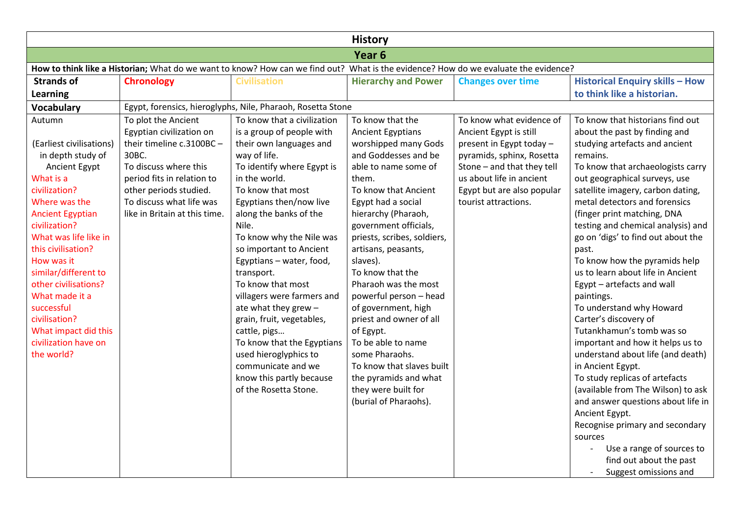| <b>History</b>                                                                                                                      |                               |                                                             |                             |                            |                                                                                                                                               |  |
|-------------------------------------------------------------------------------------------------------------------------------------|-------------------------------|-------------------------------------------------------------|-----------------------------|----------------------------|-----------------------------------------------------------------------------------------------------------------------------------------------|--|
| Year <sub>6</sub>                                                                                                                   |                               |                                                             |                             |                            |                                                                                                                                               |  |
| How to think like a Historian; What do we want to know? How can we find out? What is the evidence? How do we evaluate the evidence? |                               |                                                             |                             |                            |                                                                                                                                               |  |
| <b>Strands of</b>                                                                                                                   | <b>Chronology</b>             | <b>Civilisation</b>                                         | <b>Hierarchy and Power</b>  | <b>Changes over time</b>   | <b>Historical Enquiry skills - How</b>                                                                                                        |  |
| Learning                                                                                                                            |                               |                                                             |                             |                            | to think like a historian.                                                                                                                    |  |
| <b>Vocabulary</b>                                                                                                                   |                               | Egypt, forensics, hieroglyphs, Nile, Pharaoh, Rosetta Stone |                             |                            |                                                                                                                                               |  |
| Autumn                                                                                                                              | To plot the Ancient           | To know that a civilization                                 | To know that the            | To know what evidence of   | To know that historians find out                                                                                                              |  |
|                                                                                                                                     | Egyptian civilization on      | is a group of people with                                   | <b>Ancient Egyptians</b>    | Ancient Egypt is still     | about the past by finding and                                                                                                                 |  |
| (Earliest civilisations)                                                                                                            | their timeline c.3100BC-      | their own languages and                                     | worshipped many Gods        | present in Egypt today -   | studying artefacts and ancient                                                                                                                |  |
| in depth study of                                                                                                                   | 30BC.                         | way of life.                                                | and Goddesses and be        | pyramids, sphinx, Rosetta  | remains.                                                                                                                                      |  |
| Ancient Egypt                                                                                                                       | To discuss where this         | To identify where Egypt is                                  | able to name some of        | Stone - and that they tell | To know that archaeologists carry                                                                                                             |  |
| What is a                                                                                                                           | period fits in relation to    | in the world.                                               | them.                       | us about life in ancient   | out geographical surveys, use                                                                                                                 |  |
| civilization?                                                                                                                       | other periods studied.        | To know that most                                           | To know that Ancient        | Egypt but are also popular | satellite imagery, carbon dating,                                                                                                             |  |
| Where was the                                                                                                                       | To discuss what life was      | Egyptians then/now live                                     | Egypt had a social          | tourist attractions.       | metal detectors and forensics                                                                                                                 |  |
| <b>Ancient Egyptian</b>                                                                                                             | like in Britain at this time. | along the banks of the                                      | hierarchy (Pharaoh,         |                            | (finger print matching, DNA                                                                                                                   |  |
| civilization?                                                                                                                       |                               | Nile.                                                       | government officials,       |                            | testing and chemical analysis) and                                                                                                            |  |
| What was life like in                                                                                                               |                               | To know why the Nile was                                    | priests, scribes, soldiers, |                            | go on 'digs' to find out about the                                                                                                            |  |
| this civilisation?                                                                                                                  |                               | so important to Ancient                                     | artisans, peasants,         |                            | past.                                                                                                                                         |  |
| How was it                                                                                                                          |                               | Egyptians - water, food,                                    | slaves).                    |                            | To know how the pyramids help                                                                                                                 |  |
| similar/different to                                                                                                                |                               | transport.                                                  | To know that the            |                            | us to learn about life in Ancient                                                                                                             |  |
| other civilisations?                                                                                                                |                               | To know that most                                           | Pharaoh was the most        |                            | Egypt - artefacts and wall                                                                                                                    |  |
| What made it a                                                                                                                      |                               | villagers were farmers and                                  | powerful person - head      |                            | paintings.                                                                                                                                    |  |
| successful                                                                                                                          |                               | ate what they grew -                                        | of government, high         |                            | To understand why Howard                                                                                                                      |  |
| civilisation?                                                                                                                       |                               | grain, fruit, vegetables,                                   | priest and owner of all     |                            | Carter's discovery of                                                                                                                         |  |
| What impact did this                                                                                                                |                               | cattle, pigs                                                | of Egypt.                   |                            | Tutankhamun's tomb was so                                                                                                                     |  |
| civilization have on                                                                                                                |                               | To know that the Egyptians                                  | To be able to name          |                            | important and how it helps us to                                                                                                              |  |
| the world?                                                                                                                          |                               | used hieroglyphics to                                       | some Pharaohs.              |                            | understand about life (and death)                                                                                                             |  |
|                                                                                                                                     |                               | communicate and we                                          | To know that slaves built   |                            | in Ancient Egypt.                                                                                                                             |  |
|                                                                                                                                     |                               | know this partly because                                    | the pyramids and what       |                            | To study replicas of artefacts                                                                                                                |  |
|                                                                                                                                     |                               | of the Rosetta Stone.                                       | they were built for         |                            | (available from The Wilson) to ask                                                                                                            |  |
|                                                                                                                                     |                               |                                                             | (burial of Pharaohs).       |                            | and answer questions about life in                                                                                                            |  |
|                                                                                                                                     |                               |                                                             |                             |                            |                                                                                                                                               |  |
|                                                                                                                                     |                               |                                                             |                             |                            |                                                                                                                                               |  |
|                                                                                                                                     |                               |                                                             |                             |                            |                                                                                                                                               |  |
|                                                                                                                                     |                               |                                                             |                             |                            |                                                                                                                                               |  |
|                                                                                                                                     |                               |                                                             |                             |                            |                                                                                                                                               |  |
|                                                                                                                                     |                               |                                                             |                             |                            | Ancient Egypt.<br>Recognise primary and secondary<br>sources<br>Use a range of sources to<br>find out about the past<br>Suggest omissions and |  |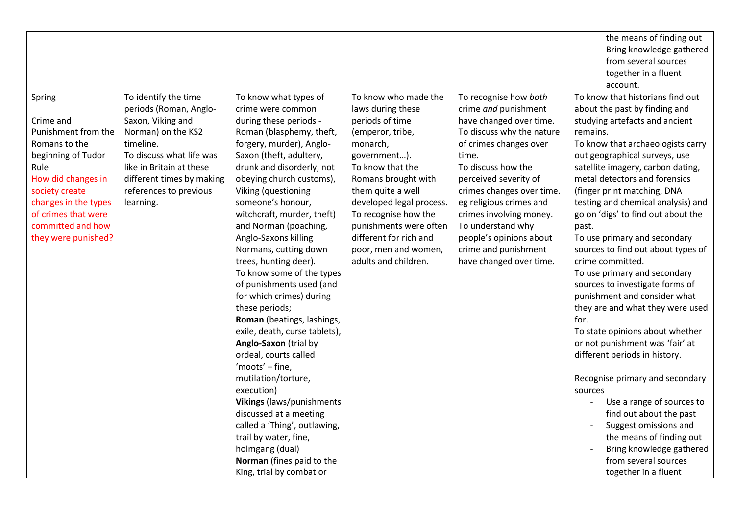|                      |                           |                               |                          |                           | the means of finding out           |
|----------------------|---------------------------|-------------------------------|--------------------------|---------------------------|------------------------------------|
|                      |                           |                               |                          |                           | Bring knowledge gathered           |
|                      |                           |                               |                          |                           | from several sources               |
|                      |                           |                               |                          |                           | together in a fluent               |
|                      |                           |                               |                          |                           | account.                           |
| Spring               | To identify the time      | To know what types of         | To know who made the     | To recognise how both     | To know that historians find out   |
|                      | periods (Roman, Anglo-    | crime were common             | laws during these        | crime and punishment      | about the past by finding and      |
| Crime and            | Saxon, Viking and         | during these periods -        | periods of time          | have changed over time.   | studying artefacts and ancient     |
| Punishment from the  | Norman) on the KS2        | Roman (blasphemy, theft,      | (emperor, tribe,         | To discuss why the nature | remains.                           |
| Romans to the        | timeline.                 | forgery, murder), Anglo-      | monarch,                 | of crimes changes over    | To know that archaeologists carry  |
| beginning of Tudor   | To discuss what life was  | Saxon (theft, adultery,       | government).             | time.                     | out geographical surveys, use      |
| Rule                 | like in Britain at these  | drunk and disorderly, not     | To know that the         | To discuss how the        | satellite imagery, carbon dating,  |
| How did changes in   | different times by making | obeying church customs),      | Romans brought with      | perceived severity of     | metal detectors and forensics      |
| society create       | references to previous    | Viking (questioning           | them quite a well        | crimes changes over time. | (finger print matching, DNA        |
| changes in the types | learning.                 | someone's honour,             | developed legal process. | eg religious crimes and   | testing and chemical analysis) and |
| of crimes that were  |                           | witchcraft, murder, theft)    | To recognise how the     | crimes involving money.   | go on 'digs' to find out about the |
| committed and how    |                           | and Norman (poaching,         | punishments were often   | To understand why         | past.                              |
| they were punished?  |                           | Anglo-Saxons killing          | different for rich and   | people's opinions about   | To use primary and secondary       |
|                      |                           | Normans, cutting down         | poor, men and women,     | crime and punishment      | sources to find out about types of |
|                      |                           | trees, hunting deer).         | adults and children.     | have changed over time.   | crime committed.                   |
|                      |                           | To know some of the types     |                          |                           | To use primary and secondary       |
|                      |                           | of punishments used (and      |                          |                           | sources to investigate forms of    |
|                      |                           | for which crimes) during      |                          |                           | punishment and consider what       |
|                      |                           | these periods;                |                          |                           | they are and what they were used   |
|                      |                           | Roman (beatings, lashings,    |                          |                           | for.                               |
|                      |                           | exile, death, curse tablets), |                          |                           | To state opinions about whether    |
|                      |                           | Anglo-Saxon (trial by         |                          |                           | or not punishment was 'fair' at    |
|                      |                           | ordeal, courts called         |                          |                           | different periods in history.      |
|                      |                           | 'moots' - fine,               |                          |                           |                                    |
|                      |                           | mutilation/torture,           |                          |                           | Recognise primary and secondary    |
|                      |                           | execution)                    |                          |                           | sources                            |
|                      |                           | Vikings (laws/punishments     |                          |                           | Use a range of sources to          |
|                      |                           | discussed at a meeting        |                          |                           | find out about the past            |
|                      |                           | called a 'Thing', outlawing,  |                          |                           | Suggest omissions and              |
|                      |                           | trail by water, fine,         |                          |                           | the means of finding out           |
|                      |                           | holmgang (dual)               |                          |                           | Bring knowledge gathered           |
|                      |                           | Norman (fines paid to the     |                          |                           | from several sources               |
|                      |                           | King, trial by combat or      |                          |                           | together in a fluent               |